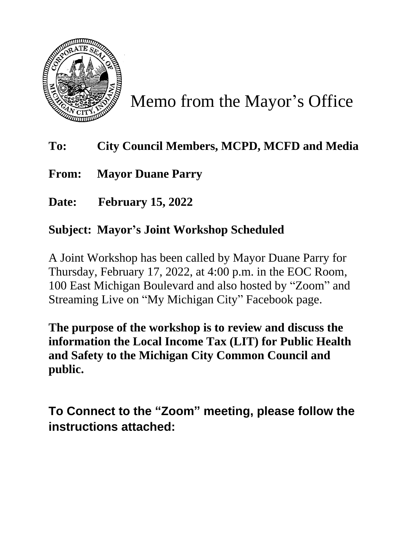

Memo from the Mayor's Office

## **To: City Council Members, MCPD, MCFD and Media**

**From: Mayor Duane Parry**

**Date: February 15, 2022**

## **Subject: Mayor's Joint Workshop Scheduled**

A Joint Workshop has been called by Mayor Duane Parry for Thursday, February 17, 2022, at 4:00 p.m. in the EOC Room, 100 East Michigan Boulevard and also hosted by "Zoom" and Streaming Live on "My Michigan City" Facebook page.

**The purpose of the workshop is to review and discuss the information the Local Income Tax (LIT) for Public Health and Safety to the Michigan City Common Council and public.**

**To Connect to the "Zoom" meeting, please follow the instructions attached:**